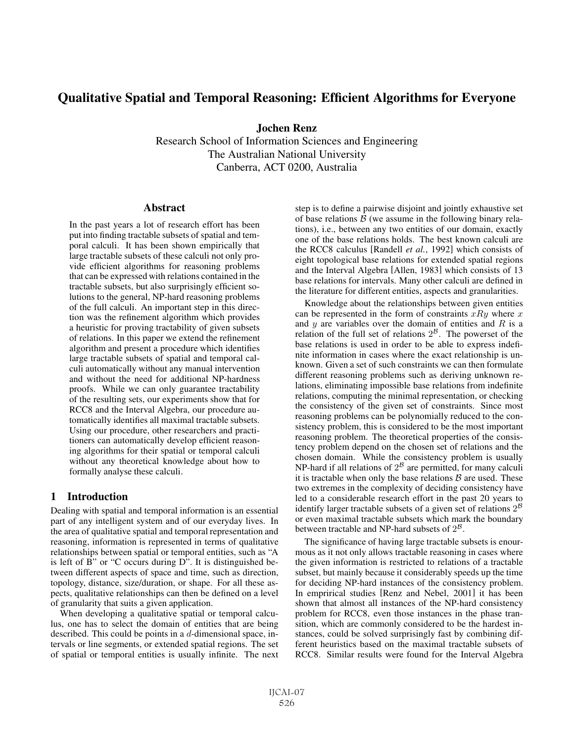# Qualitative Spatial and Temporal Reasoning: Efficient Algorithms for Everyone

Jochen Renz

Research School of Information Sciences and Engineering The Australian National University Canberra, ACT 0200, Australia

## **Abstract**

In the past years a lot of research effort has been put into finding tractable subsets of spatial and temporal calculi. It has been shown empirically that large tractable subsets of these calculi not only provide efficient algorithms for reasoning problems that can be expressed with relations contained in the tractable subsets, but also surprisingly efficient solutions to the general, NP-hard reasoning problems of the full calculi. An important step in this direction was the refinement algorithm which provides a heuristic for proving tractability of given subsets of relations. In this paper we extend the refinement algorithm and present a procedure which identifies large tractable subsets of spatial and temporal calculi automatically without any manual intervention and without the need for additional NP-hardness proofs. While we can only guarantee tractability of the resulting sets, our experiments show that for RCC8 and the Interval Algebra, our procedure automatically identifies all maximal tractable subsets. Using our procedure, other researchers and practitioners can automatically develop efficient reasoning algorithms for their spatial or temporal calculi without any theoretical knowledge about how to formally analyse these calculi.

## 1 Introduction

Dealing with spatial and temporal information is an essential part of any intelligent system and of our everyday lives. In the area of qualitative spatial and temporal representation and reasoning, information is represented in terms of qualitative relationships between spatial or temporal entities, such as "A is left of  $\overline{B}$ " or "C occurs during  $D$ ". It is distinguished between different aspects of space and time, such as direction, topology, distance, size/duration, or shape. For all these aspects, qualitative relationships can then be defined on a level of granularity that suits a given application.

When developing a qualitative spatial or temporal calculus, one has to select the domain of entities that are being described. This could be points in a  $d$ -dimensional space, intervals or line segments, or extended spatial regions. The set of spatial or temporal entities is usually infinite. The next step is to define a pairwise disjoint and jointly exhaustive set of base relations  $\beta$  (we assume in the following binary relations), i.e., between any two entities of our domain, exactly one of the base relations holds. The best known calculi are the RCC8 calculus [Randell *et al.*, 1992] which consists of eight topological base relations for extended spatial regions and the Interval Algebra [Allen, 1983] which consists of 13 base relations for intervals. Many other calculi are defined in the literature for different entities, aspects and granularities.

Knowledge about the relationships between given entities can be represented in the form of constraints  $xRy$  where x and  $y$  are variables over the domain of entities and  $R$  is a relation of the full set of relations  $2^B$ . The powerset of the base relations is used in order to be able to express indefinite information in cases where the exact relationship is unknown. Given a set of such constraints we can then formulate different reasoning problems such as deriving unknown relations, eliminating impossible base relations from indefinite relations, computing the minimal representation, or checking the consistency of the given set of constraints. Since most reasoning problems can be polynomially reduced to the consistency problem, this is considered to be the most important reasoning problem. The theoretical properties of the consistency problem depend on the chosen set of relations and the chosen domain. While the consistency problem is usually NP-hard if all relations of  $2^{\beta}$  are permitted, for many calculi it is tractable when only the base relations  $\beta$  are used. These two extremes in the complexity of deciding consistency have led to a considerable research effort in the past 20 years to identify larger tractable subsets of a given set of relations  $2^{\mathcal{B}}$ or even maximal tractable subsets which mark the boundary between tractable and NP-hard subsets of  $2^{\mathcal{B}}$ .

The significance of having large tractable subsets is enourmous as it not only allows tractable reasoning in cases where the given information is restricted to relations of a tractable subset, but mainly because it considerably speeds up the time for deciding NP-hard instances of the consistency problem. In emprirical studies [Renz and Nebel, 2001] it has been shown that almost all instances of the NP-hard consistency problem for RCC8, even those instances in the phase transition, which are commonly considered to be the hardest instances, could be solved surprisingly fast by combining different heuristics based on the maximal tractable subsets of RCC8. Similar results were found for the Interval Algebra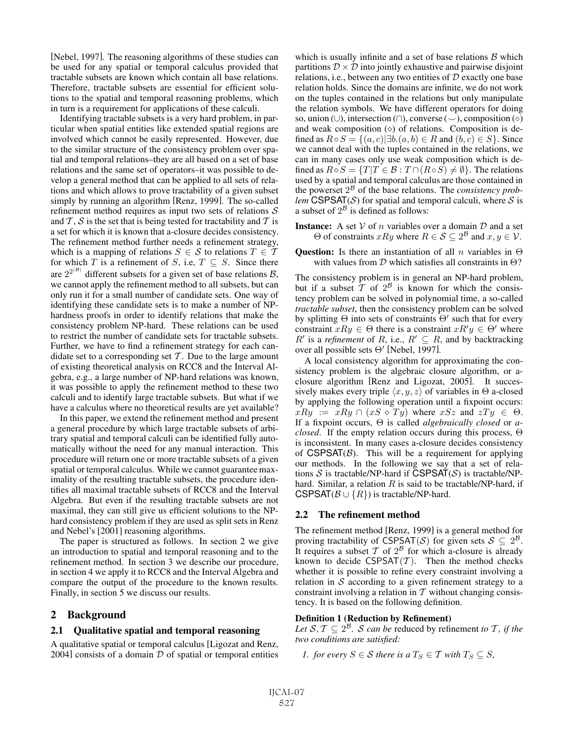[Nebel, 1997]. The reasoning algorithms of these studies can be used for any spatial or temporal calculus provided that tractable subsets are known which contain all base relations. Therefore, tractable subsets are essential for efficient solutions to the spatial and temporal reasoning problems, which in turn is a requirement for applications of these calculi.

Identifying tractable subsets is a very hard problem, in particular when spatial entities like extended spatial regions are involved which cannot be easily represented. However, due to the similar structure of the consistency problem over spatial and temporal relations–they are all based on a set of base relations and the same set of operators–it was possible to develop a general method that can be applied to all sets of relations and which allows to prove tractability of a given subset simply by running an algorithm [Renz, 1999]. The so-called refinement method requires as input two sets of relations  $S$ and  $T$ ,  $S$  is the set that is being tested for tractability and  $T$  is a set for which it is known that a-closure decides consistency. The refinement method further needs a refinement strategy, which is a mapping of relations  $S \in \mathcal{S}$  to relations  $T \in \mathcal{T}$ for which T is a refinement of S, i.e,  $T \subseteq S$ . Since there are  $2^{2^{|\mathcal{B}|}}$  different subsets for a given set of base relations  $\mathcal{B}$ , we cannot apply the refinement method to all subsets, but can only run it for a small number of candidate sets. One way of identifying these candidate sets is to make a number of NPhardness proofs in order to identify relations that make the consistency problem NP-hard. These relations can be used to restrict the number of candidate sets for tractable subsets. Further, we have to find a refinement strategy for each candidate set to a corresponding set  $\mathcal T$ . Due to the large amount of existing theoretical analysis on RCC8 and the Interval Algebra, e.g., a large number of NP-hard relations was known, it was possible to apply the refinement method to these two calculi and to identify large tractable subsets. But what if we have a calculus where no theoretical results are yet available?

In this paper, we extend the refinement method and present a general procedure by which large tractable subsets of arbitrary spatial and temporal calculi can be identified fully automatically without the need for any manual interaction. This procedure will return one or more tractable subsets of a given spatial or temporal calculus. While we cannot guarantee maximality of the resulting tractable subsets, the procedure identifies all maximal tractable subsets of RCC8 and the Interval Algebra. But even if the resulting tractable subsets are not maximal, they can still give us efficient solutions to the NPhard consistency problem if they are used as split sets in Renz and Nebel's [2001] reasoning algorithms.

The paper is structured as follows. In section 2 we give an introduction to spatial and temporal reasoning and to the refinement method. In section 3 we describe our procedure, in section 4 we apply it to RCC8 and the Interval Algebra and compare the output of the procedure to the known results. Finally, in section 5 we discuss our results.

## 2 Background

### 2.1 Qualitative spatial and temporal reasoning

A qualitative spatial or temporal calculus [Ligozat and Renz, 2004] consists of a domain  $D$  of spatial or temporal entities which is usually infinite and a set of base relations  $\beta$  which partitions  $\mathcal{D} \times \mathcal{D}$  into jointly exhaustive and pairwise disjoint relations, i.e., between any two entities of  $D$  exactly one base relation holds. Since the domains are infinite, we do not work on the tuples contained in the relations but only manipulate the relation symbols. We have different operators for doing so, union (∪), intersection (∩), converse ( $\overline{\smile}$ ), composition ( $\circ$ ) and weak composition  $(\diamond)$  of relations. Composition is defined as  $R \circ S = \{(a, c) | \exists b \cdot (a, b) \in R \text{ and } (b, c) \in S \}$ . Since we cannot deal with the tuples contained in the relations, we can in many cases only use weak composition which is defined as  $R \diamond S = \{T | T \in \mathcal{B} : T \cap (R \circ S) \neq \emptyset\}$ . The relations used by a spatial and temporal calculus are those contained in the powerset  $2^{\beta}$  of the base relations. The *consistency problem* CSPSAT( $S$ ) for spatial and temporal calculi, where  $S$  is a subset of  $2^{\beta}$  is defined as follows:

- **Instance:** A set  $V$  of n variables over a domain  $D$  and a set  $Θ$  of constraints *xRy* where *R* ∈ *S* ⊆ 2<sup>*B*</sup> and *x*, *y* ∈ *V*.
- Question: Is there an instantiation of all n variables in  $\Theta$ with values from  $\mathcal D$  which satisfies all constraints in  $\Theta$ ?

The consistency problem is in general an NP-hard problem, but if a subset  $\overline{T}$  of  $2^{\beta}$  is known for which the consistency problem can be solved in polynomial time, a so-called *tractable subset*, then the consistency problem can be solved by splitting  $\Theta$  into sets of constraints  $\Theta'$  such that for every constraint  $xRy \in \Theta$  there is a constraint  $xR'y \in \Theta'$  where  $R'$  is a *refinement* of R, i.e.,  $R' \subseteq R$ , and by backtracking over all possible sets Θ' [Nebel, 1997].

A local consistency algorithm for approximating the consistency problem is the algebraic closure algorithm, or aclosure algorithm [Renz and Ligozat, 2005]. It successively makes every triple  $\langle x, y, z \rangle$  of variables in  $\Theta$  a-closed by applying the following operation until a fixpoint occurs:  $xRy := xRy \cap (xS \diamond Ty)$  where  $xSz$  and  $zTy \in \Theta$ . If a fixpoint occurs, Θ is called *algebraically closed* or *aclosed*. If the empty relation occurs during this process, Θ is inconsistent. In many cases a-closure decides consistency of  $CSPSAT(\beta)$ . This will be a requirement for applying our methods. In the following we say that a set of relations  $S$  is tractable/NP-hard if CSPSAT( $S$ ) is tractable/NPhard. Similar, a relation  $R$  is said to be tractable/NP-hard, if CSPSAT( $\mathcal{B} \cup \{R\}$ ) is tractable/NP-hard.

### 2.2 The refinement method

The refinement method [Renz, 1999] is a general method for proving tractability of CSPSAT(S) for given sets  $S \subseteq 2^{\mathcal{B}}$ . It requires a subset  $T$  of  $2^{\beta}$  for which a-closure is already known to decide  $CSPSAT(T)$ . Then the method checks whether it is possible to refine every constraint involving a relation in  $S$  according to a given refinement strategy to a constraint involving a relation in  $T$  without changing consistency. It is based on the following definition.

### Definition 1 (Reduction by Refinement)

*Let*  $S, T \subseteq 2^B$ *. S can be reduced by refinement to T, if the two conditions are satisfied:*

*1.* for every 
$$
S \in S
$$
 there is a  $T_S \in T$  with  $T_S \subseteq S$ ,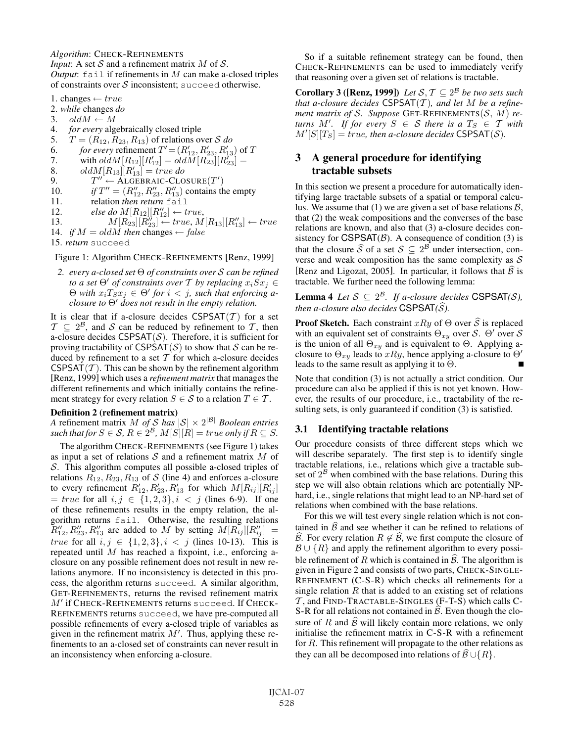*Algorithm*: CHECK-REFINEMENTS

*Input*: A set  $S$  and a refinement matrix  $M$  of  $S$ . *Output*: fail if refinements in M can make a-closed triples of constraints over  $S$  inconsistent; succeed otherwise.

- 1. changes  $\leftarrow true$
- 2. *while* changes *do*
- 3.  $oldM \leftarrow M$
- 4. *for every* algebraically closed triple
- 5.  $T = (R_{12}, R_{23}, R_{13})$  of relations over S *do*
- 6. *for every* refinement  $T' = (R'_{12}, R'_{23}, R'_{13})$  of T
- 7. with  $ol\ddot{d}M[R_{12}][R'_{12}] = old\ddot{M}[R_{23}^{23}][R'_{23}] =$
- 8. old $M[R_{13}][R_{13}'] = true$  do
- 9.  $T'' \leftarrow \text{ALGEBRAIC-CLOSURE}(T')$
- 10. *if*  $T'' = (R''_{12}, R''_{23}, R''_{13})$  contains the empty
- 11. relation *then return* fail
- 12. *else do*  $M[R_{12}][R''_{12}] \leftarrow true,$
- 13.  $M[R_{23}][R_{23}^{"'}] \leftarrow true, M[R_{13}][R_{13}^{"'}] \leftarrow true$
- 14. *if*  $M = oldM$  *then* changes  $\leftarrow$  *false*
- 15. *return* succeed

### Figure 1: Algorithm CHECK-REFINEMENTS [Renz, 1999]

*2. every a-closed set* Θ *of constraints over* S *can be refined to a set*  $\Theta'$  *of constraints over*  $T$  *by replacing*  $x_i \overline{S} x_j \in$  $\Theta$  with  $x_i \overline{T_S} x_j \in \Theta'$  for  $i < j$ , such that enforcing a*closure to* Θ- *does not result in the empty relation.*

It is clear that if a-closure decides  $CSPSAT(\mathcal{T})$  for a set  $\mathcal{T} \subseteq 2^{\mathcal{B}}$ , and S can be reduced by refinement to T, then a-closure decides  $CSPSAT(S)$ . Therefore, it is sufficient for proving tractability of  $CSPSAT(S)$  to show that S can be reduced by refinement to a set  $T$  for which a-closure decides CSPSAT(T). This can be shown by the refinement algorithm [Renz, 1999] which uses a *refinement matrix* that manages the different refinements and which initially contains the refinement strategy for every relation  $S \in \mathcal{S}$  to a relation  $T \in \mathcal{T}$ .

### Definition 2 (refinement matrix)

*A* refinement matrix *M* of *S* has  $|S| \times 2^{|B|}$  *Boolean entries such that for*  $S \in \mathcal{S}$ ,  $R \in 2^{\mathcal{B}}$ ,  $M[S][R] = true$  *only if*  $R \subseteq S$ .

The algorithm CHECK-REFINEMENTS (see Figure 1) takes as input a set of relations  $S$  and a refinement matrix  $M$  of S. This algorithm computes all possible a-closed triples of relations  $R_{12}$ ,  $R_{23}$ ,  $R_{13}$  of S (line 4) and enforces a-closure to every refinement  $R'_{12}, R'_{23}, R'_{13}$  for which  $M[R_{ij}][R'_{ij}]$  $= true$  for all  $i, j \in \{1, 2, 3\}, i < j$  (lines 6-9). If one of these refinements results in the empty relation, the algorithm returns fail. Otherwise, the resulting relations  $\widetilde{R}_{12}''$ ,  $R_{23}''$ ,  $R_{13}''$  are added to M by setting  $M[R_{ij}][R_{ij}''] =$ *true* for all  $i, j \in \{1, 2, 3\}, i < j$  (lines 10-13). This is repeated until M has reached a fixpoint, i.e., enforcing aclosure on any possible refinement does not result in new relations anymore. If no inconsistency is detected in this process, the algorithm returns succeed. A similar algorithm, GET-REFINEMENTS, returns the revised refinement matrix  $M'$  if CHECK-REFINEMENTS returns succeed. If CHECK-REFINEMENTS returns succeed, we have pre-computed all possible refinements of every a-closed triple of variables as given in the refinement matrix  $M'$ . Thus, applying these refinements to an a-closed set of constraints can never result in an inconsistency when enforcing a-closure.

So if a suitable refinement strategy can be found, then CHECK-REFINEMENTS can be used to immediately verify that reasoning over a given set of relations is tractable.

**Corollary 3 ([Renz, 1999])** *Let*  $S, T \subseteq 2^B$  *be two sets such that a-closure decides* CSPSAT(T )*, and let* M *be a refinement matrix of S. Suppose* GET-REFINEMENTS( $S$ ,  $M$ ) *re* $turns$   $M'$ . If for every  $S \in S$  there is a  $T_S \in T$  with  $M'[S][T_S] = \text{true}$ , then a-closure decides  $\text{CSPSAT}(S)$ .

## 3 A general procedure for identifying tractable subsets

In this section we present a procedure for automatically identifying large tractable subsets of a spatial or temporal calculus. We assume that (1) we are given a set of base relations  $\beta$ , that (2) the weak compositions and the converses of the base relations are known, and also that (3) a-closure decides consistency for  $CSPSAT(B)$ . A consequence of condition (3) is that the closure  $\widehat{S}$  of a set  $S \subseteq 2^B$  under intersection, converse and weak composition has the same complexity as  $S$ [Renz and Ligozat, 2005]. In particular, it follows that  $\widehat{\beta}$  is tractable. We further need the following lemma:

**Lemma 4** *Let*  $S \subseteq 2^B$ *. If a-closure decides* CSPSAT(S), then a-closure also decides  $\mathsf{CSPSAT}(\widehat{\mathcal{S}})$ .

**Proof Sketch.** Each constraint  $xRy$  of  $\Theta$  over  $\widehat{S}$  is replaced with an equivalent set of constraints  $\Theta_{xy}$  over S.  $\Theta'$  over S is the union of all  $\Theta_{xy}$  and is equivalent to  $\Theta$ . Applying aclosure to  $\Theta_{xy}$  leads to  $xRy$ , hence applying a-closure to  $\Theta'$ leads to the same result as applying it to  $\Theta$ .

Note that condition (3) is not actually a strict condition. Our procedure can also be applied if this is not yet known. However, the results of our procedure, i.e., tractability of the resulting sets, is only guaranteed if condition (3) is satisfied.

## 3.1 Identifying tractable relations

Our procedure consists of three different steps which we will describe separately. The first step is to identify single tractable relations, i.e., relations which give a tractable subset of  $2^{\mathcal{B}}$  when combined with the base relations. During this step we will also obtain relations which are potentially NPhard, i.e., single relations that might lead to an NP-hard set of relations when combined with the base relations.

For this we will test every single relation which is not contained in  $\widehat{B}$  and see whether it can be refined to relations of  $\widehat{\mathcal{B}}$ . For every relation  $R \notin \widehat{\mathcal{B}}$ , we first compute the closure of  $\mathcal{B}\cup\{R\}$  and apply the refinement algorithm to every possible refinement of R which is contained in  $\widehat{\mathcal{B}}$ . The algorithm is given in Figure 2 and consists of two parts, CHECK-SINGLE-REFINEMENT (C-S-R) which checks all refinements for a single relation  $R$  that is added to an existing set of relations  $\mathcal T$ , and FIND-TRACTABLE-SINGLES (F-T-S) which calls C-S-R for all relations not contained in  $\widehat{\mathcal{B}}$ . Even though the closure of R and  $\widehat{B}$  will likely contain more relations, we only initialise the refinement matrix in C-S-R with a refinement for  $R$ . This refinement will propagate to the other relations as they can all be decomposed into relations of  $\widehat{\mathcal{B}}\cup\{R\}.$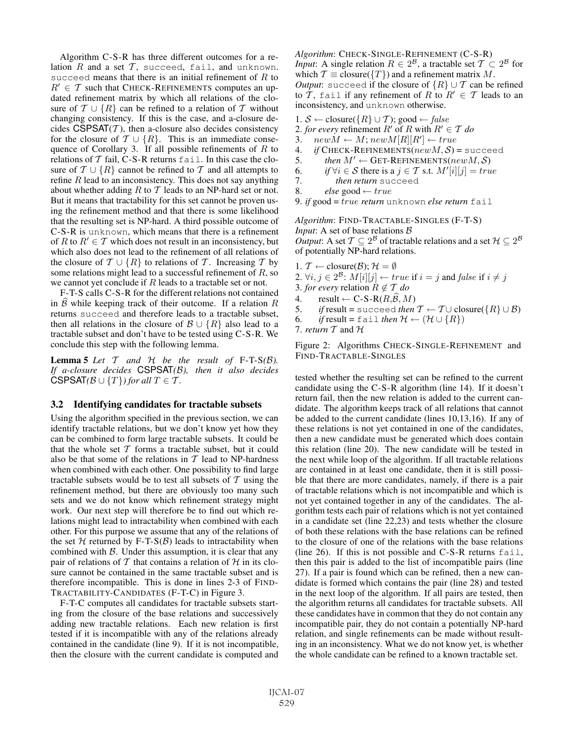Algorithm C-S-R has three different outcomes for a relation  $R$  and a set  $T$ , succeed, fail, and unknown. succeed means that there is an initial refinement of  $R$  to  $R' \in \mathcal{T}$  such that CHECK-REFINEMENTS computes an updated refinement matrix by which all relations of the closure of  $\mathcal{T} \cup \{R\}$  can be refined to a relation of  $\mathcal{T}$  without changing consistency. If this is the case, and a-closure decides  $CSPSAT(T)$ , then a-closure also decides consistency for the closure of  $T \cup \{R\}$ . This is an immediate consequence of Corollary 3. If all possible refinements of  $R$  to relations of  $T$  fail, C-S-R returns fail. In this case the closure of  $\mathcal{T} \cup \{R\}$  cannot be refined to  $\mathcal{T}$  and all attempts to refine  $R$  lead to an inconsistency. This does not say anything about whether adding  $R$  to  $T$  leads to an NP-hard set or not. But it means that tractability for this set cannot be proven using the refinement method and that there is some likelihood that the resulting set is NP-hard. A third possible outcome of C-S-R is unknown, which means that there is a refinement of R to  $R' \in \mathcal{T}$  which does not result in an inconsistency, but which also does not lead to the refinement of all relations of the closure of  $T \cup \{R\}$  to relations of T. Increasing T by some relations might lead to a successful refinement of R, so we cannot yet conclude if R leads to a tractable set or not.

F-T-S calls C-S-R for the different relations not contained in  $\widehat{B}$  while keeping track of their outcome. If a relation R returns succeed and therefore leads to a tractable subset, then all relations in the closure of  $\mathcal{B}\cup\{R\}$  also lead to a tractable subset and don't have to be tested using C-S-R. We conclude this step with the following lemma.

**Lemma 5** Let  $T$  and  $H$  be the result of F-T-S( $B$ ). *If a-closure decides* CSPSAT*(*B*), then it also decides* CSPSAT $(B \cup \{T\})$  for all  $T \in \mathcal{T}$ *.* 

## 3.2 Identifying candidates for tractable subsets

Using the algorithm specified in the previous section, we can identify tractable relations, but we don't know yet how they can be combined to form large tractable subsets. It could be that the whole set  $T$  forms a tractable subset, but it could also be that some of the relations in  $T$  lead to NP-hardness when combined with each other. One possibility to find large tractable subsets would be to test all subsets of  $T$  using the refinement method, but there are obviously too many such sets and we do not know which refinement strategy might work. Our next step will therefore be to find out which relations might lead to intractability when combined with each other. For this purpose we assume that any of the relations of the set  $H$  returned by F-T-S( $B$ ) leads to intractability when combined with  $\beta$ . Under this assumption, it is clear that any pair of relations of T that contains a relation of H in its closure cannot be contained in the same tractable subset and is therefore incompatible. This is done in lines 2-3 of FIND-TRACTABILITY-CANDIDATES (F-T-C) in Figure 3.

F-T-C computes all candidates for tractable subsets starting from the closure of the base relations and successively adding new tractable relations. Each new relation is first tested if it is incompatible with any of the relations already contained in the candidate (line 9). If it is not incompatible, then the closure with the current candidate is computed and *Algorithm*: CHECK-SINGLE-REFINEMENT (C-S-R) *Input*: A single relation  $R \in 2^B$ , a tractable set  $\mathcal{T} \subset 2^B$  for which  $\mathcal{T} \equiv$  closure( $\{T\}$ ) and a refinement matrix M. *Output*: succeed if the closure of  $\{R\} \cup \mathcal{T}$  can be refined to  $\overline{T}$ , fail if any refinement of R to  $R' \in \mathcal{T}$  leads to an inconsistency, and unknown otherwise.

1. S ← closure( $\{R\} \cup \mathcal{T}$ ); good ← false

2. *for every* refinement  $R'$  of R with  $R' \in T$  do

- 3.  $newM \leftarrow M; newM[R][R'] \leftarrow true$
- 4. *if* CHECK-REFINEMENTS( $newM$ ,  $S$ ) = succeed<br>5. *then*  $M' \leftarrow$  GET-REFINEMENTS( $newM$ ,  $S$ )
- 5. *then*  $M' \leftarrow$  GET-REFINEMENTS(new  $M, S$ )
- 6. *if*  $\forall i \in S$  there is a  $j \in T$  s.t.  $M'[i][j] = true$
- 7. *then return* succeed<br>8. *else* good  $\leftarrow true$
- 8. *else* good ← true
- 9. *if* good = true *return* unknown *else return* fail

*Algorithm*: FIND-TRACTABLE-SINGLES (F-T-S) *Input*: A set of base relations  $\beta$ *Output*: A set  $\mathcal{T} \subseteq 2^{\mathcal{B}}$  of tractable relations and a set  $\mathcal{H} \subseteq 2^{\mathcal{B}}$ of potentially NP-hard relations.

- 1.  $\mathcal{T} \leftarrow \text{closure}(\mathcal{B}); \mathcal{H} = \emptyset$
- 2.  $\forall i, j \in 2^{\mathcal{B}}$ :  $M[i][j] \leftarrow true$  if  $i = j$  and false if  $i \neq j$
- 3. *for every* relation  $R \notin \mathcal{T}$  *do*
- 4. result  $\leftarrow$  C-S-R( $R, \widehat{\mathcal{B}}, M$ )
- 5. *if* result = succeed *then*  $T \leftarrow T \cup closure({R} \cup B)$
- 6. *if* result = fail *then*  $\mathcal{H} \leftarrow (\mathcal{H} \cup \{R\})$

```
7. return T and H
```
Figure 2: Algorithms CHECK-SINGLE-REFINEMENT and FIND-TRACTABLE-SINGLES

tested whether the resulting set can be refined to the current candidate using the C-S-R algorithm (line 14). If it doesn't return fail, then the new relation is added to the current candidate. The algorithm keeps track of all relations that cannot be added to the current candidate (lines 10,13,16). If any of these relations is not yet contained in one of the candidates, then a new candidate must be generated which does contain this relation (line 20). The new candidate will be tested in the next while loop of the algorithm. If all tractable relations are contained in at least one candidate, then it is still possible that there are more candidates, namely, if there is a pair of tractable relations which is not incompatible and which is not yet contained together in any of the candidates. The algorithm tests each pair of relations which is not yet contained in a candidate set (line 22,23) and tests whether the closure of both these relations with the base relations can be refined to the closure of one of the relations with the base relations (line 26). If this is not possible and C-S-R returns fail, then this pair is added to the list of incompatible pairs (line 27). If a pair is found which can be refined, then a new candidate is formed which contains the pair (line 28) and tested in the next loop of the algorithm. If all pairs are tested, then the algorithm returns all candidates for tractable subsets. All these candidates have in common that they do not contain any incompatible pair, they do not contain a potentially NP-hard relation, and single refinements can be made without resulting in an inconsistency. What we do not know yet, is whether the whole candidate can be refined to a known tractable set.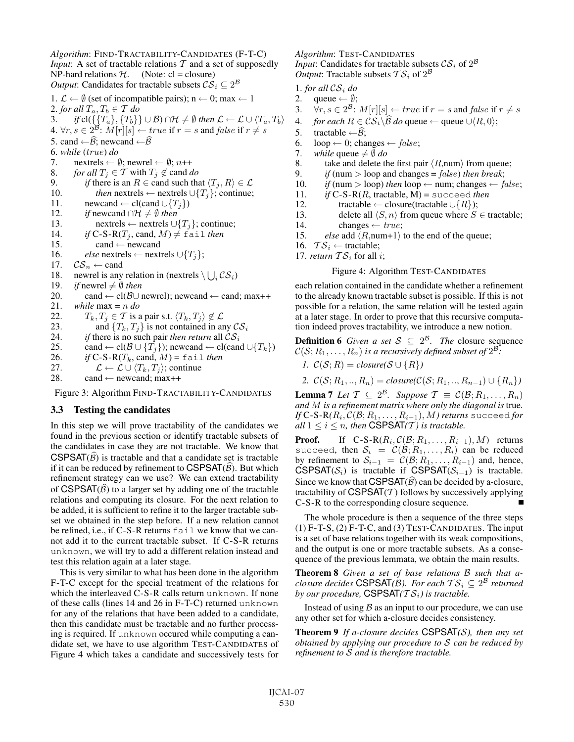*Algorithm*: FIND-TRACTABILITY-CANDIDATES (F-T-C) *Input*: A set of tractable relations  $T$  and a set of supposedly NP-hard relations  $H$ . (Note: cl = closure) *Output*: Candidates for tractable subsets  $CS_i \subseteq 2^B$ 1.  $\mathcal{L} \leftarrow \emptyset$  (set of incompatible pairs); n ← 0; max ← 1 2. *for all*  $T_a, T_b \in \mathcal{T}$  *do* 3. *if* cl( $\{\{T_a\}, \{T_b\}\}\cup\mathcal{B} \cap \mathcal{H} \neq \emptyset$  then  $\mathcal{L} \leftarrow \mathcal{L} \cup \{T_a, T_b\}$ 4. ∀r,  $s \in 2^{\mathcal{B}}$  :  $M[r][s] \leftarrow true$  if  $r = s$  and  $false$  if  $r \neq s$ 5. cand  $\leftarrow \widehat{\mathcal{B}}$ ; newcand  $\leftarrow \widehat{\mathcal{B}}$ 6. *while* (true) *do* 7. nextrels  $\leftarrow \emptyset$ ; newrel  $\leftarrow \emptyset$ ; n++ 8. *for all*  $T_i \in \mathcal{T}$  with  $T_i \notin$  cand *do* 9. *if* there is an  $R \in \text{cand such that } \langle T_i, R \rangle \in \mathcal{L}$ 10. *then* nextrels ← nextrels  $\cup \{T_j\}$ ; continue; 11. newcand ← cl(cand  $\cup \{T_i\}$ ) 12. *if* newcand  $\cap \mathcal{H} \neq \emptyset$  *then* 13. nextrels ← nextrels ∪{ $T_i$ }; continue; 14. *if*  $C$ -S-R( $T_i$ , cand,  $M$ )  $\neq$  fail *then* 15. cand  $\leftarrow$  newcand 16. *else* nextrels ← nextrels  $\cup \{T_i\};$ 17.  $CS_n \leftarrow$  cand 18. newrel is any relation in (nextrels  $\setminus \bigcup_i \mathcal{CS}_i$ ) 19. *if* newrel  $\neq$  0 *then* 20. cand ← cl( $\beta$ U newrel); newcand ← cand; max++ 21. *while* max = n *do* 22.  $T_k, T_j \in \mathcal{T}$  is a pair s.t.  $\langle T_k, T_j \rangle \notin \mathcal{L}$ <br>23. and  $\{T_k, T_j\}$  is not contained in an 23. and  $\{T_k, T_j\}$  is not contained in any  $CS_i$ <br>24. *if* there is no such pair *then return* all  $CS_i$ 24. *if* there is no such pair *then return* all  $CS_i$ <br>25. cand  $\leftarrow$  cl( $\mathcal{B} \cup \{T_i\}$ ); newcand  $\leftarrow$  cl(can cand ← cl( $\mathcal{B} \cup \{T_j\}$ ); newcand ← cl(cand  $\cup \{T_k\}$ ) 26. *if*  $C$ -S-R( $T_k$ , cand,  $M$ ) = fail *then* 27.  $\mathcal{L} \leftarrow \mathcal{L} \cup \langle T_k, T_j \rangle$ ; continue 28. cand  $\leftarrow$  newcand; max++

Figure 3: Algorithm FIND-TRACTABILITY-CANDIDATES

## 3.3 Testing the candidates

In this step we will prove tractability of the candidates we found in the previous section or identify tractable subsets of the candidates in case they are not tractable. We know that CSPSAT $(\widehat{\mathcal{B}})$  is tractable and that a candidate set is tractable if it can be reduced by refinement to CSPSAT $(\widehat{\mathcal{B}})$ . But which refinement strategy can we use? We can extend tractability of CSPSAT $(\widehat{\mathcal{B}})$  to a larger set by adding one of the tractable relations and computing its closure. For the next relation to be added, it is sufficient to refine it to the larger tractable subset we obtained in the step before. If a new relation cannot be refined, i.e., if C-S-R returns fail we know that we cannot add it to the current tractable subset. If C-S-R returns unknown, we will try to add a different relation instead and test this relation again at a later stage.

This is very similar to what has been done in the algorithm F-T-C except for the special treatment of the relations for which the interleaved C-S-R calls return unknown. If none of these calls (lines 14 and 26 in F-T-C) returned unknown for any of the relations that have been added to a candidate, then this candidate must be tractable and no further processing is required. If unknown occured while computing a candidate set, we have to use algorithm TEST-CANDIDATES of Figure 4 which takes a candidate and successively tests for *Algorithm*: TEST-CANDIDATES *Input*: Candidates for tractable subsets  $CS_i$  of  $2^B$ *Output*: Tractable subsets  $TS_i$  of  $2^B$ 

1. *for all*  $CS_i$  *do*<br>2. queue  $\leftarrow \emptyset$ ;

- queue  $\leftarrow \emptyset$ ;
- 3.  $\forall r, s \in 2^{\mathcal{B}}: M[r][s] \leftarrow true \text{ if } r = s \text{ and } false \text{ if } r \neq s$
- 4. *for each*  $R \in \mathcal{CS}_i \backslash \mathcal{B}$  *do* queue ← queue  $\cup \langle R, 0 \rangle$ ;
- 5. tractable  $\leftarrow \widehat{\mathcal{B}}$ ;
- 6.  $loop \leftarrow 0$ ; changes  $\leftarrow false$ ;
- 7. *while* queue  $\neq \emptyset$  *do*
- 8. take and delete the first pair  $\langle R$ ,num $\rangle$  from queue;
- 9. *if* (num  $>$  loop and changes = *false*) *then break*;
- 10. *if* (num > loop) *then* loop  $\leftarrow$  num; changes  $\leftarrow$  *false*;
- 11. *if* C-S-R(R, tractable, M) = succeed *then*
- 12. tractable ← closure(tractable  $\cup \{R\}$ );
- 13. delete all  $\langle S, n \rangle$  from queue where  $S \in$  tractable;
- 14. changes  $\leftarrow true;$
- 15. *else* add  $\langle R$ , num + 1 to the end of the queue;
- 16.  $TS_i$  ← tractable;
- 17. *return*  $TS_i$  for all *i*;

#### Figure 4: Algorithm TEST-CANDIDATES

each relation contained in the candidate whether a refinement to the already known tractable subset is possible. If this is not possible for a relation, the same relation will be tested again at a later stage. In order to prove that this recursive computation indeed proves tractability, we introduce a new notion.

**Definition 6** *Given a set*  $S \subseteq 2^B$ *. The closure sequence*  $\mathcal{C}(\mathcal{S}; R_1, \ldots, R_n)$  *is a recursively defined subset of*  $2^{\mathcal{B}}$ *:* 

*1.*  $\mathcal{C}(\mathcal{S}; R) = closure(\mathcal{S} \cup \{R\})$ 

*2.*  $\mathcal{C}(\mathcal{S}; R_1, ..., R_n) = closure(\mathcal{C}(\mathcal{S}; R_1, ..., R_{n-1}) \cup \{R_n\})$ 

**Lemma 7** *Let*  $T \subseteq 2^B$ *. Suppose*  $T \equiv C(\mathcal{B}; R_1, \ldots, R_n)$ *and* M *is a refinement matrix where only the diagonal is* true*. If*  $C$ -S-R $(R_i, C(\mathcal{B}; R_1, \ldots, R_{i-1}), M$ *) returns* succeed *for all*  $1 \leq i \leq n$ *, then* CSPSAT $(T)$  *is tractable.* 

**Proof.** If  $C-S-R(R_i, \mathcal{C}(\mathcal{B}; R_1, \ldots, R_{i-1}), M)$  returns succeed, then  $S_i = C(\mathcal{B}; R_1, \ldots, R_i)$  can be reduced by refinement to  $S_{i-1} = C(\mathcal{B}; R_1, \ldots, R_{i-1})$  and, hence, CSPSAT( $S_i$ ) is tractable if CSPSAT( $S_{i-1}$ ) is tractable. Since we know that CSPSAT $(\widehat{\mathcal{B}})$  can be decided by a-closure, tractability of  $CSPSAT(\mathcal{T})$  follows by successively applying C-S-R to the corresponding closure sequence.

The whole procedure is then a sequence of the three steps  $(1)$  F-T-S,  $(2)$  F-T-C, and  $(3)$  TEST-CANDIDATES. The input is a set of base relations together with its weak compositions, and the output is one or more tractable subsets. As a consequence of the previous lemmata, we obtain the main results.

Theorem 8 *Given a set of base relations* B *such that aclosure decides* CSPSAT(*B*). For each  $TS_i \subseteq 2^B$  returned *by our procedure,* CSPSAT $(TS_i)$  *is tractable.* 

Instead of using  $\beta$  as an input to our procedure, we can use any other set for which a-closure decides consistency.

Theorem 9 *If a-closure decides* CSPSAT*(*S*), then any set obtained by applying our procedure to* S *can be reduced by refinement to* S *and is therefore tractable.*